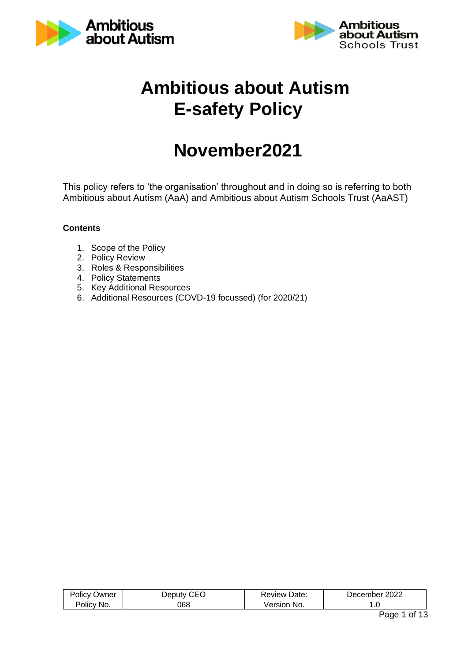



# **Ambitious about Autism E-safety Policy**

# **November2021**

This policy refers to 'the organisation' throughout and in doing so is referring to both Ambitious about Autism (AaA) and Ambitious about Autism Schools Trust (AaAST)

#### **Contents**

- 1. Scope of the Policy
- 2. Policy Review
- 3. Roles & Responsibilities
- 4. Policy Statements
- 5. Key Additional Resources
- 6. Additional Resources (COVD-19 focussed) (for 2020/21)

| שwner         | ′ eputv | Date:           | 2022             |
|---------------|---------|-----------------|------------------|
| 'Olicv        | `⊢≀     | .keview :       | <i>D</i> ecember |
| √olic⊻<br>No. | 068     | .∕ersi∩r<br>NO. | . . v            |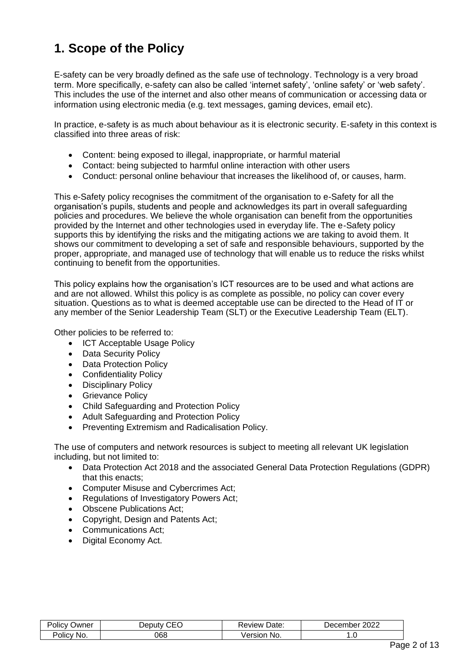## **1. Scope of the Policy**

E-safety can be very broadly defined as the safe use of technology. Technology is a very broad term. More specifically, e-safety can also be called 'internet safety', 'online safety' or 'web safety'. This includes the use of the internet and also other means of communication or accessing data or information using electronic media (e.g. text messages, gaming devices, email etc).

In practice, e-safety is as much about behaviour as it is electronic security. E-safety in this context is classified into three areas of risk:

- Content: being exposed to illegal, inappropriate, or harmful material
- Contact: being subjected to harmful online interaction with other users
- Conduct: personal online behaviour that increases the likelihood of, or causes, harm.

This e-Safety policy recognises the commitment of the organisation to e-Safety for all the organisation's pupils, students and people and acknowledges its part in overall safeguarding policies and procedures. We believe the whole organisation can benefit from the opportunities provided by the Internet and other technologies used in everyday life. The e-Safety policy supports this by identifying the risks and the mitigating actions we are taking to avoid them. It shows our commitment to developing a set of safe and responsible behaviours, supported by the proper, appropriate, and managed use of technology that will enable us to reduce the risks whilst continuing to benefit from the opportunities.

This policy explains how the organisation's ICT resources are to be used and what actions are and are not allowed. Whilst this policy is as complete as possible, no policy can cover every situation. Questions as to what is deemed acceptable use can be directed to the Head of IT or any member of the Senior Leadership Team (SLT) or the Executive Leadership Team (ELT).

Other policies to be referred to:

- ICT Acceptable Usage Policy
- Data Security Policy
- Data Protection Policy
- Confidentiality Policy
- Disciplinary Policy
- Grievance Policy
- Child Safeguarding and Protection Policy
- Adult Safeguarding and Protection Policy
- Preventing Extremism and Radicalisation Policy.

The use of computers and network resources is subject to meeting all relevant UK legislation including, but not limited to:

- Data Protection Act 2018 and the associated General Data Protection Regulations (GDPR) that this enacts;
- Computer Misuse and Cybercrimes Act;
- Regulations of Investigatory Powers Act;
- Obscene Publications Act;
- Copyright, Design and Patents Act;
- Communications Act;
- Digital Economy Act.

| .<br>-<br>שwner<br>olicy | $\hat{ }$<br>∍∩ | Date:<br>eview ' | nnnn<br>------<br>$\sim$ $\sim$<br>Jer<br>·•o•<br>.<br>◡▵▵ |
|--------------------------|-----------------|------------------|------------------------------------------------------------|
| -No.<br>olicy-           | 068             | ersion<br>No.    | . .                                                        |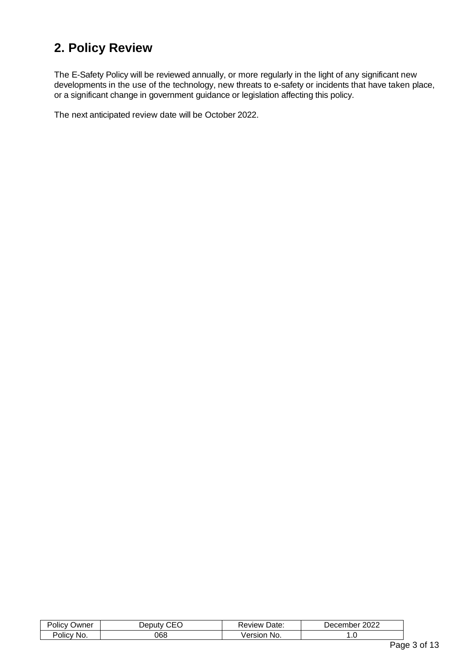## **2. Policy Review**

The E-Safety Policy will be reviewed annually, or more regularly in the light of any significant new developments in the use of the technology, new threats to e-safety or incidents that have taken place, or a significant change in government guidance or legislation affecting this policy.

The next anticipated review date will be October 2022.

| Jwner<br>υιιι | ۰n<br>nutv | Jate:<br>eview | 2022<br>$\blacksquare$<br>me. |  |
|---------------|------------|----------------|-------------------------------|--|
| Policy<br>ΝG  | 768        | No.            | ں.                            |  |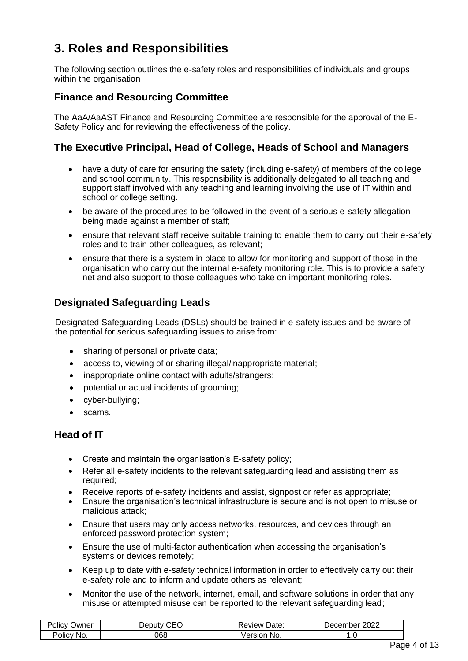## **3. Roles and Responsibilities**

The following section outlines the e-safety roles and responsibilities of individuals and groups within the organisation

#### **Finance and Resourcing Committee**

The AaA/AaAST Finance and Resourcing Committee are responsible for the approval of the E-Safety Policy and for reviewing the effectiveness of the policy.

#### **The Executive Principal, Head of College, Heads of School and Managers**

- have a duty of care for ensuring the safety (including e-safety) of members of the college and school community. This responsibility is additionally delegated to all teaching and support staff involved with any teaching and learning involving the use of IT within and school or college setting.
- be aware of the procedures to be followed in the event of a serious e-safety allegation being made against a member of staff;
- ensure that relevant staff receive suitable training to enable them to carry out their e-safety roles and to train other colleagues, as relevant;
- ensure that there is a system in place to allow for monitoring and support of those in the organisation who carry out the internal e-safety monitoring role. This is to provide a safety net and also support to those colleagues who take on important monitoring roles.

### **Designated Safeguarding Leads**

Designated Safeguarding Leads (DSLs) should be trained in e-safety issues and be aware of the potential for serious safeguarding issues to arise from:

- sharing of personal or private data;
- access to, viewing of or sharing illegal/inappropriate material;
- inappropriate online contact with adults/strangers;
- potential or actual incidents of grooming;
- cyber-bullying;
- scams.

#### **Head of IT**

- Create and maintain the organisation's E-safety policy;
- Refer all e-safety incidents to the relevant safeguarding lead and assisting them as required:
- Receive reports of e-safety incidents and assist, signpost or refer as appropriate;
- Ensure the organisation's technical infrastructure is secure and is not open to misuse or malicious attack;
- Ensure that users may only access networks, resources, and devices through an enforced password protection system;
- Ensure the use of multi-factor authentication when accessing the organisation's systems or devices remotely;
- Keep up to date with e-safety technical information in order to effectively carry out their e-safety role and to inform and update others as relevant;
- Monitor the use of the network, internet, email, and software solutions in order that any misuse or attempted misuse can be reported to the relevant safeguarding lead;

| -<br>$\cdots$<br>$\overline{\phantom{a}}$ olicy<br>שwner | $\sim$ $\sim$ $\sim$<br>Jeputv | Date:<br><b>Review</b> : | 2022<br>Jecember |
|----------------------------------------------------------|--------------------------------|--------------------------|------------------|
| $\sim$<br>Policy<br>No.                                  | 068                            | √ersion<br>No.           | ں.               |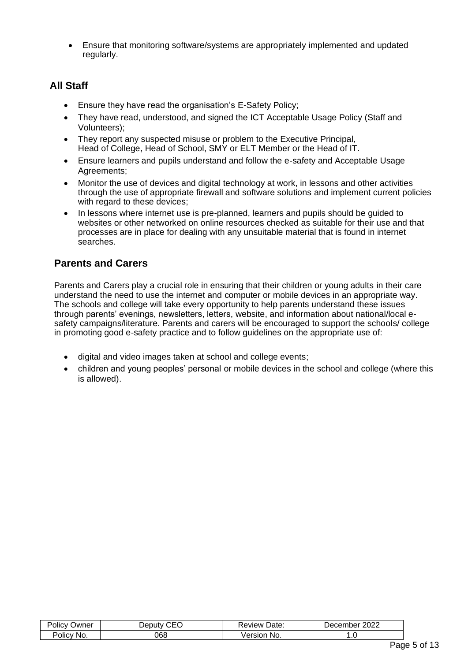• Ensure that monitoring software/systems are appropriately implemented and updated regularly.

## **All Staff**

- Ensure they have read the organisation's E-Safety Policy;
- They have read, understood, and signed the ICT Acceptable Usage Policy (Staff and Volunteers);
- They report any suspected misuse or problem to the Executive Principal. Head of College, Head of School, SMY or ELT Member or the Head of IT.
- Ensure learners and pupils understand and follow the e-safety and Acceptable Usage Agreements;
- Monitor the use of devices and digital technology at work, in lessons and other activities through the use of appropriate firewall and software solutions and implement current policies with regard to these devices;
- In lessons where internet use is pre-planned, learners and pupils should be guided to websites or other networked on online resources checked as suitable for their use and that processes are in place for dealing with any unsuitable material that is found in internet searches.

## **Parents and Carers**

Parents and Carers play a crucial role in ensuring that their children or young adults in their care understand the need to use the internet and computer or mobile devices in an appropriate way. The schools and college will take every opportunity to help parents understand these issues through parents' evenings, newsletters, letters, website, and information about national/local esafety campaigns/literature. Parents and carers will be encouraged to support the schools/ college in promoting good e-safety practice and to follow guidelines on the appropriate use of:

- digital and video images taken at school and college events;
- children and young peoples' personal or mobile devices in the school and college (where this is allowed).

| ne<br>יווכ      |     | Jate.<br>view       | юе<br>′∪∠∠ |
|-----------------|-----|---------------------|------------|
| -<br>٦ı<br>ାାଠ' | 068 | ∍rsı∩r<br><b>No</b> | . . U      |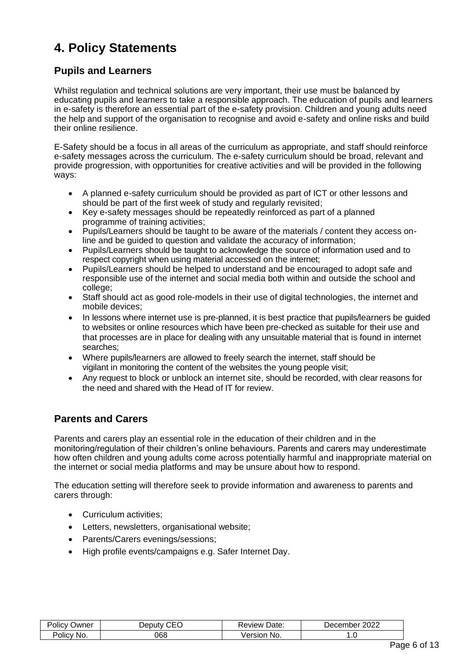## **4. Policy Statements**

### **Pupils and Learners**

Whilst regulation and technical solutions are very important, their use must be balanced by educating pupils and learners to take a responsible approach. The education of pupils and learners in e-safety is therefore an essential part of the e-safety provision. Children and young adults need the help and support of the organisation to recognise and avoid e-safety and online risks and build their online resilience.

E-Safety should be a focus in all areas of the curriculum as appropriate, and staff should reinforce e-safety messages across the curriculum. The e-safety curriculum should be broad, relevant and provide progression, with opportunities for creative activities and will be provided in the following ways:

- A planned e-safety curriculum should be provided as part of ICT or other lessons and should be part of the first week of study and regularly revisited;
- Key e-safety messages should be repeatedly reinforced as part of a planned programme of training activities;
- Pupils/Learners should be taught to be aware of the materials / content they access online and be guided to question and validate the accuracy of information;
- Pupils/Learners should be taught to acknowledge the source of information used and to respect copyright when using material accessed on the internet;
- Pupils/Learners should be helped to understand and be encouraged to adopt safe and responsible use of the internet and social media both within and outside the school and college;
- Staff should act as good role-models in their use of digital technologies, the internet and mobile devices;
- In lessons where internet use is pre-planned, it is best practice that pupils/learners be quided to websites or online resources which have been pre-checked as suitable for their use and that processes are in place for dealing with any unsuitable material that is found in internet searches;
- Where pupils/learners are allowed to freely search the internet, staff should be vigilant in monitoring the content of the websites the young people visit;
- Any request to block or unblock an internet site, should be recorded, with clear reasons for the need and shared with the Head of IT for review.

## **Parents and Carers**

Parents and carers play an essential role in the education of their children and in the monitoring/regulation of their children's online behaviours. Parents and carers may underestimate how often children and young adults come across potentially harmful and inappropriate material on the internet or social media platforms and may be unsure about how to respond.

The education setting will therefore seek to provide information and awareness to parents and carers through:

- Curriculum activities:
- Letters, newsletters, organisational website;
- Parents/Carers evenings/sessions;
- High profile events/campaigns e.g. Safer Internet Day.

| .<br>'olicv<br>Jwner | $\sim$ $\sim$ $\sim$<br>IAN Itv | Date.<br>∴aview ∙    | ∩∩∩<br>umber :<br>. Jecemh<br>7∪∠∠ |
|----------------------|---------------------------------|----------------------|------------------------------------|
| olicy,<br>NO.        | 068                             | $ -$<br>- No.<br>510 | . . U                              |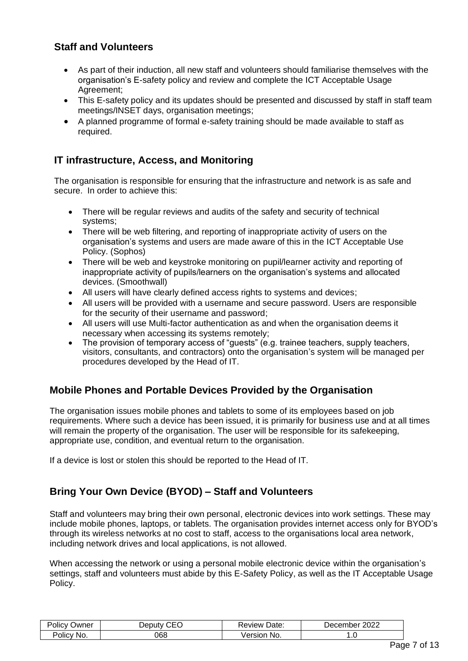## **Staff and Volunteers**

- As part of their induction, all new staff and volunteers should familiarise themselves with the organisation's E-safety policy and review and complete the ICT Acceptable Usage Agreement;
- This E-safety policy and its updates should be presented and discussed by staff in staff team meetings/INSET days, organisation meetings;
- A planned programme of formal e-safety training should be made available to staff as required.

### **IT infrastructure, Access, and Monitoring**

The organisation is responsible for ensuring that the infrastructure and network is as safe and secure. In order to achieve this:

- There will be regular reviews and audits of the safety and security of technical systems;
- There will be web filtering, and reporting of inappropriate activity of users on the organisation's systems and users are made aware of this in the ICT Acceptable Use Policy. (Sophos)
- There will be web and keystroke monitoring on pupil/learner activity and reporting of inappropriate activity of pupils/learners on the organisation's systems and allocated devices. (Smoothwall)
- All users will have clearly defined access rights to systems and devices;
- All users will be provided with a username and secure password. Users are responsible for the security of their username and password;
- All users will use Multi-factor authentication as and when the organisation deems it necessary when accessing its systems remotely;
- The provision of temporary access of "guests" (e.g. trainee teachers, supply teachers, visitors, consultants, and contractors) onto the organisation's system will be managed per procedures developed by the Head of IT.

## **Mobile Phones and Portable Devices Provided by the Organisation**

The organisation issues mobile phones and tablets to some of its employees based on job requirements. Where such a device has been issued, it is primarily for business use and at all times will remain the property of the organisation. The user will be responsible for its safekeeping, appropriate use, condition, and eventual return to the organisation.

If a device is lost or stolen this should be reported to the Head of IT.

## **Bring Your Own Device (BYOD) – Staff and Volunteers**

Staff and volunteers may bring their own personal, electronic devices into work settings. These may include mobile phones, laptops, or tablets. The organisation provides internet access only for BYOD's through its wireless networks at no cost to staff, access to the organisations local area network, including network drives and local applications, is not allowed.

When accessing the network or using a personal mobile electronic device within the organisation's settings, staff and volunteers must abide by this E-Safety Policy, as well as the IT Acceptable Usage Policy.

| $\cdots$<br>-<br>Jwner<br>عווה.<br>v<br>ັ | ~--<br>Jenuty | Date<br>. wewn | 2022<br>، م (<br>er<br>دء |  |
|-------------------------------------------|---------------|----------------|---------------------------|--|
| -<br>NG<br>סווc∙                          | 368           | - No.<br>sion  | $\cdot$ $\cdot$           |  |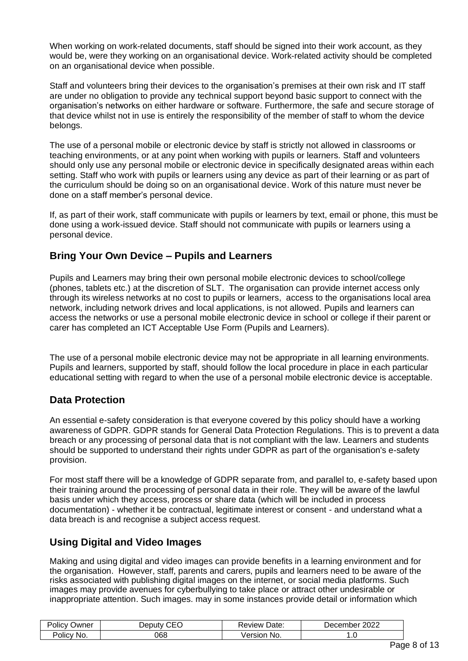When working on work-related documents, staff should be signed into their work account, as they would be, were they working on an organisational device. Work-related activity should be completed on an organisational device when possible.

Staff and volunteers bring their devices to the organisation's premises at their own risk and IT staff are under no obligation to provide any technical support beyond basic support to connect with the organisation's networks on either hardware or software. Furthermore, the safe and secure storage of that device whilst not in use is entirely the responsibility of the member of staff to whom the device belongs.

The use of a personal mobile or electronic device by staff is strictly not allowed in classrooms or teaching environments, or at any point when working with pupils or learners. Staff and volunteers should only use any personal mobile or electronic device in specifically designated areas within each setting. Staff who work with pupils or learners using any device as part of their learning or as part of the curriculum should be doing so on an organisational device. Work of this nature must never be done on a staff member's personal device.

If, as part of their work, staff communicate with pupils or learners by text, email or phone, this must be done using a work-issued device. Staff should not communicate with pupils or learners using a personal device.

### **Bring Your Own Device – Pupils and Learners**

Pupils and Learners may bring their own personal mobile electronic devices to school/college (phones, tablets etc.) at the discretion of SLT. The organisation can provide internet access only through its wireless networks at no cost to pupils or learners, access to the organisations local area network, including network drives and local applications, is not allowed. Pupils and learners can access the networks or use a personal mobile electronic device in school or college if their parent or carer has completed an ICT Acceptable Use Form (Pupils and Learners).

The use of a personal mobile electronic device may not be appropriate in all learning environments. Pupils and learners, supported by staff, should follow the local procedure in place in each particular educational setting with regard to when the use of a personal mobile electronic device is acceptable.

### **Data Protection**

An essential e-safety consideration is that everyone covered by this policy should have a working awareness of GDPR. GDPR stands for General Data Protection Regulations. This is to prevent a data breach or any processing of personal data that is not compliant with the law. Learners and students should be supported to understand their rights under GDPR as part of the organisation's e-safety provision.

For most staff there will be a knowledge of GDPR separate from, and parallel to, e-safety based upon their training around the processing of personal data in their role. They will be aware of the lawful basis under which they access, process or share data (which will be included in process documentation) - whether it be contractual, legitimate interest or consent - and understand what a data breach is and recognise a subject access request.

## **Using Digital and Video Images**

Making and using digital and video images can provide benefits in a learning environment and for the organisation. However, staff, parents and carers, pupils and learners need to be aware of the risks associated with publishing digital images on the internet, or social media platforms. Such images may provide avenues for cyberbullying to take place or attract other undesirable or inappropriate attention. Such images. may in some instances provide detail or information which

| Jwner<br>'olicy | $\sim$ $\sim$ $\sim$<br>Jeputv<br>. . | Date:<br>⊀eview | 2022<br>⊃ecember |
|-----------------|---------------------------------------|-----------------|------------------|
| Polic∨<br>NO.   | 368                                   | nnor<br>No.     | . ب              |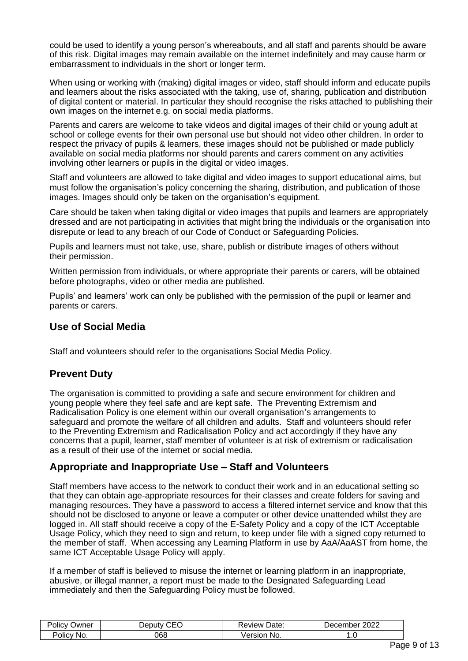could be used to identify a young person's whereabouts, and all staff and parents should be aware of this risk. Digital images may remain available on the internet indefinitely and may cause harm or embarrassment to individuals in the short or longer term.

When using or working with (making) digital images or video, staff should inform and educate pupils and learners about the risks associated with the taking, use of, sharing, publication and distribution of digital content or material. In particular they should recognise the risks attached to publishing their own images on the internet e.g. on social media platforms.

Parents and carers are welcome to take videos and digital images of their child or young adult at school or college events for their own personal use but should not video other children. In order to respect the privacy of pupils & learners, these images should not be published or made publicly available on social media platforms nor should parents and carers comment on any activities involving other learners or pupils in the digital or video images.

Staff and volunteers are allowed to take digital and video images to support educational aims, but must follow the organisation's policy concerning the sharing, distribution, and publication of those images. Images should only be taken on the organisation's equipment.

Care should be taken when taking digital or video images that pupils and learners are appropriately dressed and are not participating in activities that might bring the individuals or the organisation into disrepute or lead to any breach of our Code of Conduct or Safeguarding Policies.

Pupils and learners must not take, use, share, publish or distribute images of others without their permission.

Written permission from individuals, or where appropriate their parents or carers, will be obtained before photographs, video or other media are published.

Pupils' and learners' work can only be published with the permission of the pupil or learner and parents or carers.

### **Use of Social Media**

Staff and volunteers should refer to the organisations Social Media Policy.

### **Prevent Duty**

The organisation is committed to providing a safe and secure environment for children and young people where they feel safe and are kept safe. The Preventing Extremism and Radicalisation Policy is one element within our overall organisation's arrangements to safeguard and promote the welfare of all children and adults. Staff and volunteers should refer to the Preventing Extremism and Radicalisation Policy and act accordingly if they have any concerns that a pupil, learner, staff member of volunteer is at risk of extremism or radicalisation as a result of their use of the internet or social media.

### **Appropriate and Inappropriate Use – Staff and Volunteers**

Staff members have access to the network to conduct their work and in an educational setting so that they can obtain age-appropriate resources for their classes and create folders for saving and managing resources. They have a password to access a filtered internet service and know that this should not be disclosed to anyone or leave a computer or other device unattended whilst they are logged in. All staff should receive a copy of the E-Safety Policy and a copy of the ICT Acceptable Usage Policy, which they need to sign and return, to keep under file with a signed copy returned to the member of staff. When accessing any Learning Platform in use by AaA/AaAST from home, the same ICT Acceptable Usage Policy will apply.

If a member of staff is believed to misuse the internet or learning platform in an inappropriate, abusive, or illegal manner, a report must be made to the Designated Safeguarding Lead immediately and then the Safeguarding Policy must be followed.

| .<br>-<br>Jwner<br>οιις | $\sim$ $\sim$ $\sim$<br>Jenuty | . .<br>Date.<br><b>ROVIEW</b> | 2022<br>יבונ<br>പല |
|-------------------------|--------------------------------|-------------------------------|--------------------|
| olicv'<br>NO.           | 860                            | ersior<br>NO.<br>eı           | $\cdot\cdot\cdot$  |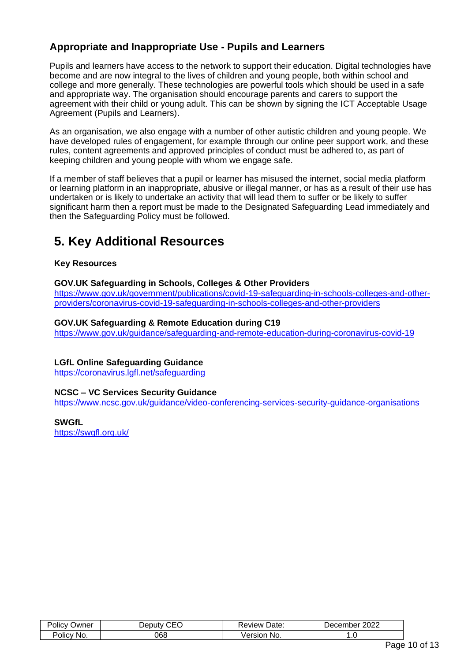## **Appropriate and Inappropriate Use - Pupils and Learners**

Pupils and learners have access to the network to support their education. Digital technologies have become and are now integral to the lives of children and young people, both within school and college and more generally. These technologies are powerful tools which should be used in a safe and appropriate way. The organisation should encourage parents and carers to support the agreement with their child or young adult. This can be shown by signing the ICT Acceptable Usage Agreement (Pupils and Learners).

As an organisation, we also engage with a number of other autistic children and young people. We have developed rules of engagement, for example through our online peer support work, and these rules, content agreements and approved principles of conduct must be adhered to, as part of keeping children and young people with whom we engage safe.

If a member of staff believes that a pupil or learner has misused the internet, social media platform or learning platform in an inappropriate, abusive or illegal manner, or has as a result of their use has undertaken or is likely to undertake an activity that will lead them to suffer or be likely to suffer significant harm then a report must be made to the Designated Safeguarding Lead immediately and then the Safeguarding Policy must be followed.

## **5. Key Additional Resources**

#### **Key Resources**

#### **GOV.UK Safeguarding in Schools, Colleges & Other Providers**

[https://www.gov.uk/government/publications/covid-19-safeguarding-in-schools-colleges-and-other](https://www.gov.uk/government/publications/covid-19-safeguarding-in-schools-colleges-and-other-providers/coronavirus-covid-19-safeguarding-in-schools-colleges-and-other-providers)[providers/coronavirus-covid-19-safeguarding-in-schools-colleges-and-other-providers](https://www.gov.uk/government/publications/covid-19-safeguarding-in-schools-colleges-and-other-providers/coronavirus-covid-19-safeguarding-in-schools-colleges-and-other-providers)

#### **GOV.UK Safeguarding & Remote Education during C19**

<https://www.gov.uk/guidance/safeguarding-and-remote-education-during-coronavirus-covid-19>

#### **LGfL Online Safeguarding Guidance**

<https://coronavirus.lgfl.net/safeguarding>

#### **NCSC – VC Services Security Guidance**

<https://www.ncsc.gov.uk/guidance/video-conferencing-services-security-guidance-organisations>

#### **SWGfL**

<https://swgfl.org.uk/>

| $\overline{\phantom{a}}$<br>$\cdots$<br>שwner<br>ାାଠ | $\overline{\phantom{m}}$<br>ווו וחבו<br>- | Date:<br>wew   | 2022<br>.nber<br>، م<br>. ت |  |
|------------------------------------------------------|-------------------------------------------|----------------|-----------------------------|--|
| $\cdots$<br>Policy:<br>Νc<br>.                       | 068                                       | /ersior<br>NO. | . . U                       |  |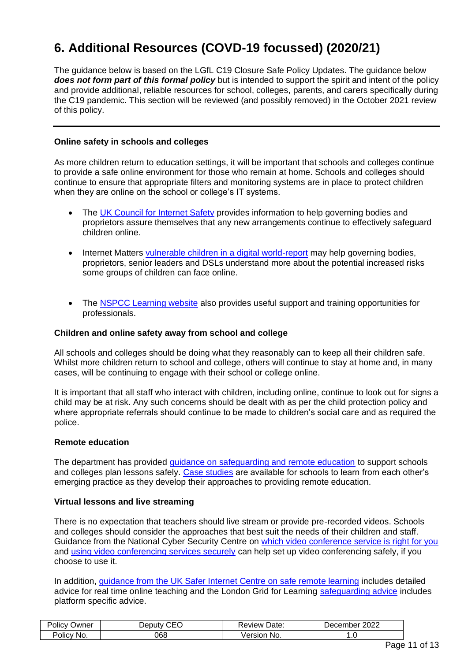## **6. Additional Resources (COVD-19 focussed) (2020/21)**

The guidance below is based on the LGfL C19 Closure Safe Policy Updates. The guidance below *does not form part of this formal policy* but is intended to support the spirit and intent of the policy and provide additional, reliable resources for school, colleges, parents, and carers specifically during the C19 pandemic. This section will be reviewed (and possibly removed) in the October 2021 review of this policy.

#### **Online safety in schools and colleges**

As more children return to education settings, it will be important that schools and colleges continue to provide a safe online environment for those who remain at home. Schools and colleges should continue to ensure that appropriate filters and monitoring systems are in place to protect children when they are online on the school or college's IT systems.

- The [UK Council for Internet Safety](https://www.gov.uk/government/publications/online-safety-in-schools-and-colleges-questions-from-the-governing-board) provides information to help governing bodies and proprietors assure themselves that any new arrangements continue to effectively safeguard children online.
- Internet Matters [vulnerable children in a digital world-report](https://www.internetmatters.org/about-us/vulnerable-children-in-a-digital-world-report/) may help governing bodies, proprietors, senior leaders and DSLs understand more about the potential increased risks some groups of children can face online.
- The [NSPCC Learning website](https://learning.nspcc.org.uk/) also provides useful support and training opportunities for professionals.

#### **Children and online safety away from school and college**

All schools and colleges should be doing what they reasonably can to keep all their children safe. Whilst more children return to school and college, others will continue to stay at home and, in many cases, will be continuing to engage with their school or college online.

It is important that all staff who interact with children, including online, continue to look out for signs a child may be at risk. Any such concerns should be dealt with as per the child protection policy and where appropriate referrals should continue to be made to children's social care and as required the police.

#### **Remote education**

The department has provided [guidance on safeguarding and remote education](https://www.gov.uk/guidance/safeguarding-and-remote-education-during-coronavirus-covid-19) to support schools and colleges plan lessons safely. [Case studies](https://www.gov.uk/government/collections/case-studies-remote-education-practice-for-schools-during-coronavirus-covid-19) are available for schools to learn from each other's emerging practice as they develop their approaches to providing remote education.

#### **Virtual lessons and live streaming**

There is no expectation that teachers should live stream or provide pre-recorded videos. Schools and colleges should consider the approaches that best suit the needs of their children and staff. Guidance from the National Cyber Security Centre on [which video conference service is right for you](https://www.ncsc.gov.uk/guidance/video-conferencing-services-security-guidance-organisations) and [using video conferencing services securely](https://www.ncsc.gov.uk/guidance/video-conferencing-services-using-them-securely) can help set up video conferencing safely, if you choose to use it.

In addition, [guidance from the UK Safer Internet Centre on safe remote learning](https://swgfl.org.uk/resources/safe-remote-learning/) includes detailed advice for real time online teaching and the London Grid for Learning safequarding advice includes platform specific advice.

| .<br>-<br>שwner<br><b>OIICV</b> | $\sim$ $\sim$ $\sim$<br>⊇en⊔tv | 'Jate.<br>'eview | 2022<br>Jecember |
|---------------------------------|--------------------------------|------------------|------------------|
| <b>No</b><br>olicy.             | 068                            | /ersior<br>No.   | . . v            |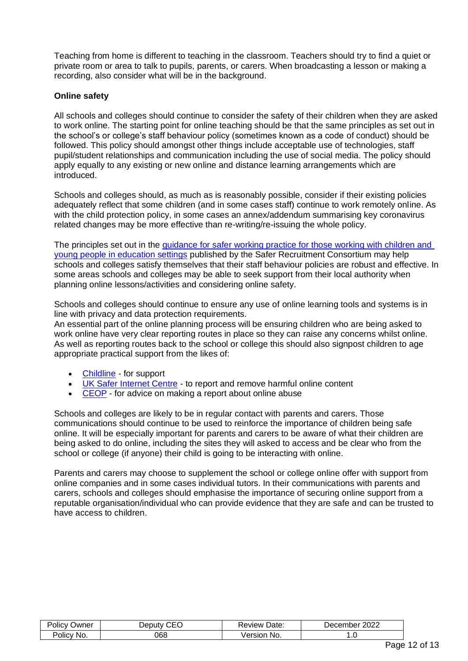Teaching from home is different to teaching in the classroom. Teachers should try to find a quiet or private room or area to talk to pupils, parents, or carers. When broadcasting a lesson or making a recording, also consider what will be in the background.

#### **Online safety**

All schools and colleges should continue to consider the safety of their children when they are asked to work online. The starting point for online teaching should be that the same principles as set out in the school's or college's staff behaviour policy (sometimes known as a code of conduct) should be followed. This policy should amongst other things include acceptable use of technologies, staff pupil/student relationships and communication including the use of social media. The policy should apply equally to any existing or new online and distance learning arrangements which are introduced.

Schools and colleges should, as much as is reasonably possible, consider if their existing policies adequately reflect that some children (and in some cases staff) continue to work remotely online. As with the child protection policy, in some cases an annex/addendum summarising key coronavirus related changes may be more effective than re-writing/re-issuing the whole policy.

The principles set out in the quidance for safer working practice for those working with children and [young people in education settings](https://www.saferrecruitmentconsortium.org/) published by the Safer Recruitment Consortium may help schools and colleges satisfy themselves that their staff behaviour policies are robust and effective. In some areas schools and colleges may be able to seek support from their local authority when planning online lessons/activities and considering online safety.

Schools and colleges should continue to ensure any use of online learning tools and systems is in line with privacy and data protection requirements.

An essential part of the online planning process will be ensuring children who are being asked to work online have very clear reporting routes in place so they can raise any concerns whilst online. As well as reporting routes back to the school or college this should also signpost children to age appropriate practical support from the likes of:

- [Childline](https://www.childline.org.uk/?utm_source=google&utm_medium=cpc&utm_campaign=UK_GO_S_B_BND_Grant_Childline_Information&utm_term=role_of_childline&gclsrc=aw.ds&&gclid=EAIaIQobChMIlfLRh-ez6AIVRrDtCh1N9QR2EAAYASAAEgLc-vD_BwE&gclsrc=aw.ds) for support
- [UK Safer Internet Centre](https://reportharmfulcontent.com/) to report and remove harmful online content
- [CEOP](https://www.ceop.police.uk/safety-centre/) for advice on making a report about online abuse

Schools and colleges are likely to be in regular contact with parents and carers. Those communications should continue to be used to reinforce the importance of children being safe online. It will be especially important for parents and carers to be aware of what their children are being asked to do online, including the sites they will asked to access and be clear who from the school or college (if anyone) their child is going to be interacting with online.

Parents and carers may choose to supplement the school or college online offer with support from online companies and in some cases individual tutors. In their communications with parents and carers, schools and colleges should emphasise the importance of securing online support from a reputable organisation/individual who can provide evidence that they are safe and can be trusted to have access to children.

| -<br>.<br>Jwner<br>OIIC | $\sim$ $\sim$ $\sim$<br>⊃eput∨ | :Jate<br>∽vi⊟w | 0000<br>1000m <sup>2</sup><br>--<br>۱ne۰ |
|-------------------------|--------------------------------|----------------|------------------------------------------|
| -<br>Policy<br>NO.      | 860                            | No.<br>~"      | . ن                                      |